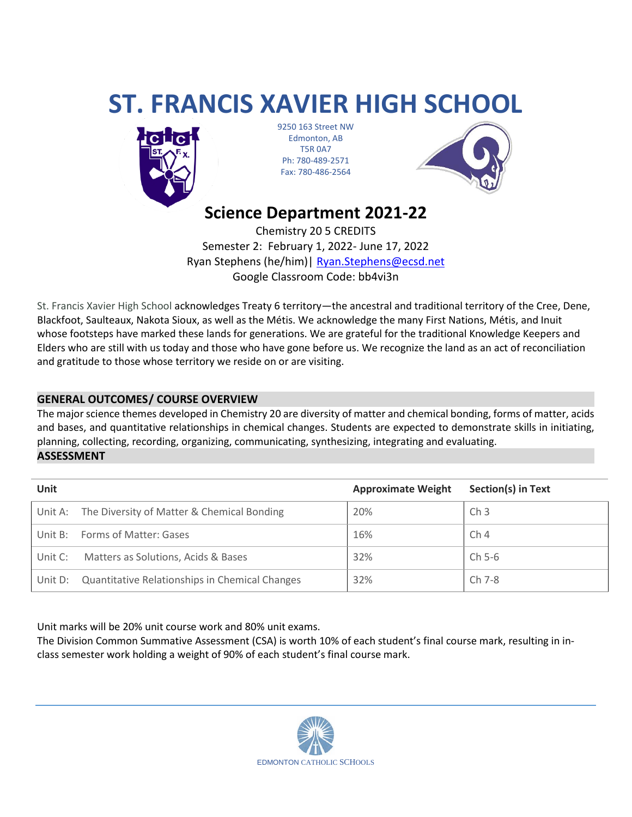# **ST. FRANCIS XAVIER HIGH SCHOOL**



9250 163 Street NW Edmonton, AB T5R 0A7 Ph: 780-489-2571 Fax: 780-486-2564



## **Science Department 2021-22**

Chemistry 20 5 CREDITS Semester 2: February 1, 2022- June 17, 2022 Ryan Stephens (he/him)| [Ryan.Stephens@ecsd.net](mailto:Ryan.Stephens@ecsd.net) Google Classroom Code: bb4vi3n

St. Francis Xavier High School acknowledges Treaty 6 territory—the ancestral and traditional territory of the Cree, Dene, Blackfoot, Saulteaux, Nakota Sioux, as well as the Métis. We acknowledge the many First Nations, Métis, and Inuit whose footsteps have marked these lands for generations. We are grateful for the traditional Knowledge Keepers and Elders who are still with us today and those who have gone before us. We recognize the land as an act of reconciliation and gratitude to those whose territory we reside on or are visiting.

### **GENERAL OUTCOMES/ COURSE OVERVIEW**

The major science themes developed in Chemistry 20 are diversity of matter and chemical bonding, forms of matter, acids and bases, and quantitative relationships in chemical changes. Students are expected to demonstrate skills in initiating, planning, collecting, recording, organizing, communicating, synthesizing, integrating and evaluating.

**ASSESSMENT**

| <b>Unit</b> |                                                    | <b>Approximate Weight</b> | <b>Section(s) in Text</b> |
|-------------|----------------------------------------------------|---------------------------|---------------------------|
|             | Unit A: The Diversity of Matter & Chemical Bonding | 20%                       | Ch <sub>3</sub>           |
|             | Unit B: Forms of Matter: Gases                     | 16%                       | Ch <sub>4</sub>           |
| Unit C:     | Matters as Solutions, Acids & Bases                | 32%                       | Ch 5-6                    |
| Unit D:     | Quantitative Relationships in Chemical Changes     | 32%                       | Ch 7-8                    |

Unit marks will be 20% unit course work and 80% unit exams.

The Division Common Summative Assessment (CSA) is worth 10% of each student's final course mark, resulting in inclass semester work holding a weight of 90% of each student's final course mark.

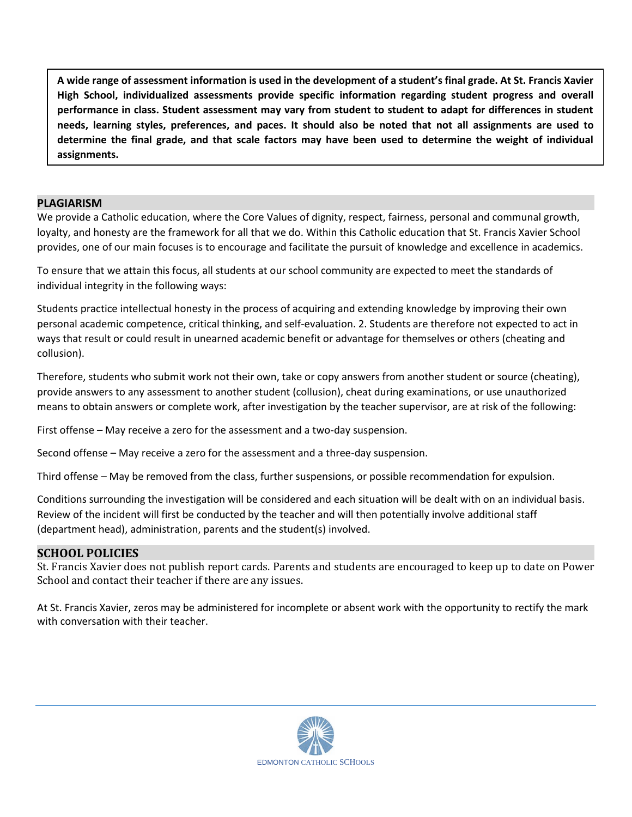**A wide range of assessment information is used in the development of a student's final grade. At St. Francis Xavier High School, individualized assessments provide specific information regarding student progress and overall performance in class. Student assessment may vary from student to student to adapt for differences in student needs, learning styles, preferences, and paces. It should also be noted that not all assignments are used to determine the final grade, and that scale factors may have been used to determine the weight of individual assignments.**

#### **PLAGIARISM**

We provide a Catholic education, where the Core Values of dignity, respect, fairness, personal and communal growth, loyalty, and honesty are the framework for all that we do. Within this Catholic education that St. Francis Xavier School provides, one of our main focuses is to encourage and facilitate the pursuit of knowledge and excellence in academics.

To ensure that we attain this focus, all students at our school community are expected to meet the standards of individual integrity in the following ways:

Students practice intellectual honesty in the process of acquiring and extending knowledge by improving their own personal academic competence, critical thinking, and self-evaluation. 2. Students are therefore not expected to act in ways that result or could result in unearned academic benefit or advantage for themselves or others (cheating and collusion).

Therefore, students who submit work not their own, take or copy answers from another student or source (cheating), provide answers to any assessment to another student (collusion), cheat during examinations, or use unauthorized means to obtain answers or complete work, after investigation by the teacher supervisor, are at risk of the following:

First offense – May receive a zero for the assessment and a two-day suspension.

Second offense – May receive a zero for the assessment and a three-day suspension.

Third offense – May be removed from the class, further suspensions, or possible recommendation for expulsion.

Conditions surrounding the investigation will be considered and each situation will be dealt with on an individual basis. Review of the incident will first be conducted by the teacher and will then potentially involve additional staff (department head), administration, parents and the student(s) involved.

#### **SCHOOL POLICIES**

St. Francis Xavier does not publish report cards. Parents and students are encouraged to keep up to date on Power School and contact their teacher if there are any issues.

At St. Francis Xavier, zeros may be administered for incomplete or absent work with the opportunity to rectify the mark with conversation with their teacher.